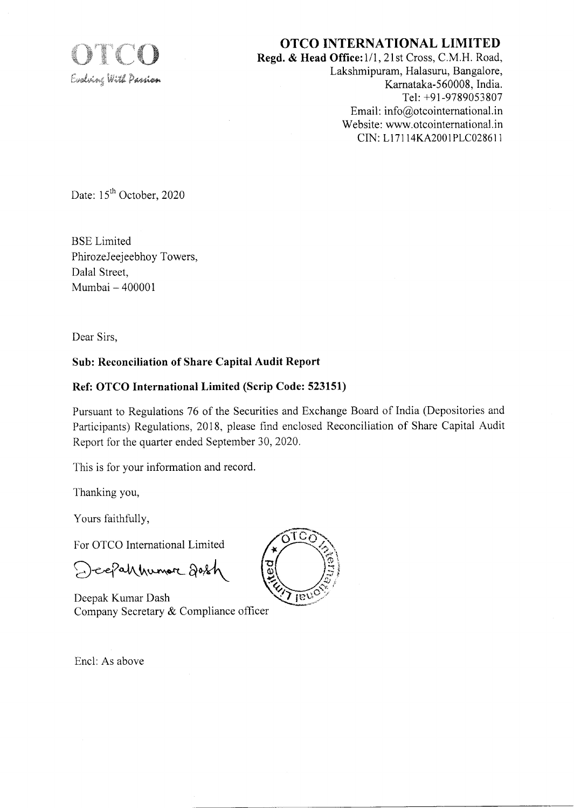

## OTCO INTERNATIONAL LIMITED

Regd. & Head Office: 1/1, 21st Cross, C.M.H. Road, Lakshmipuram, Halasuru, Bangalore, Karnataka-560008, India. Tel: +91-9789053807 Email: info@otcointernational.in Website: www.otcointernational.in CIN: LlTl 14KA2001 PLC0286l <sup>I</sup>

Date: 15<sup>th</sup> October, 2020

BSE Limited PhirozeJeejeebhoy Towers, Dalal Street, Mumbai - <sup>400001</sup>

Dear Sirs,

#### Sub: Reconciliation of Share Capital Audit Report

### Ref: OTCO International Limited (Scrip Code: 523151)

Pursuant to Regulations 76 of the Securities and Exchange Board of India (Depositories and Participants) Regulations, 2018, please find enclosed Reconciliation of Share Capital Audit Report for the quarter ended September 30,2020.

This is for your information and record.

Thanking you,

Yours faithfully,

For OTCO International Limited

Deepahnumore dosh

Deepak Kumar Dash Company Secretary & Compliance officer



Encl: As above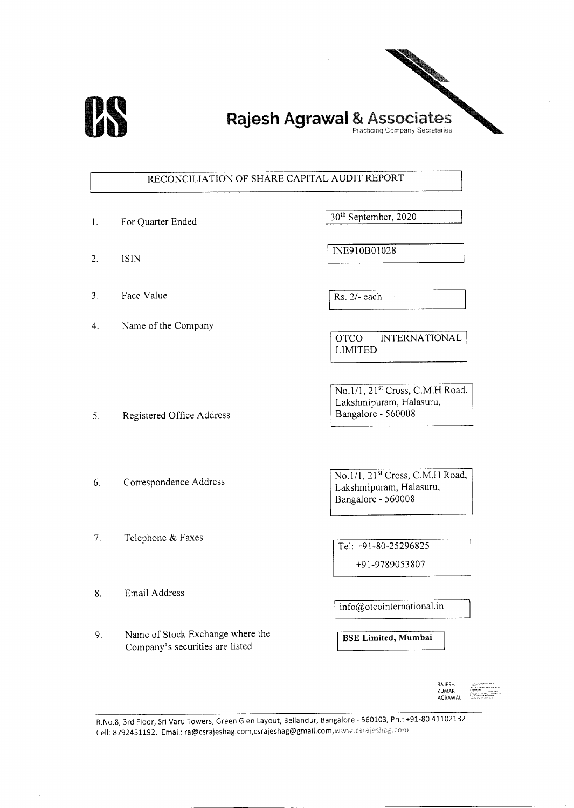

## Rajesh Agrawal & Associates Practicing Company Secretaries

#### RECONCILIATION OF SHARE CAPITAL AUDIT REPORT

- 1. For Quarter Ended 30<sup>th</sup> September, 2020
- 2. ISIN

- 3. Face Value
- 4. Name of the Company

Rs. 2/- each

INE910B0l028

OTCO INTERNATIONAL LIMITED

No.1/1, 21<sup>st</sup> Cross, C.M.H Road, Lakshmipuram, Halasuru, Bangalore - 560008

6. Correspondence Address

5. Registered Office Address

1. Telephone & Faxes

No.1/1, 21<sup>st</sup> Cross, C.M.H Road, Lakshmipuram, Halasuru, Bangalore - 560008

Tel: +91-80-25296825 +9 1 -9789053 807

8. Email Address

Name of Stock Exchange where the Company's securities are listed 9.

info@otcointemational.in

BSE Limited, Mumbai



R.No.8, 3rd Floor, Sri Varu Towers, Green Glen Layout, Bellandur, Bangalore - 560103, Ph.: +91-80 41102132 Cell: 8792451192, Email: ra@csrajeshag.com,csrajeshag@gmail.com,www.csrajeshag.com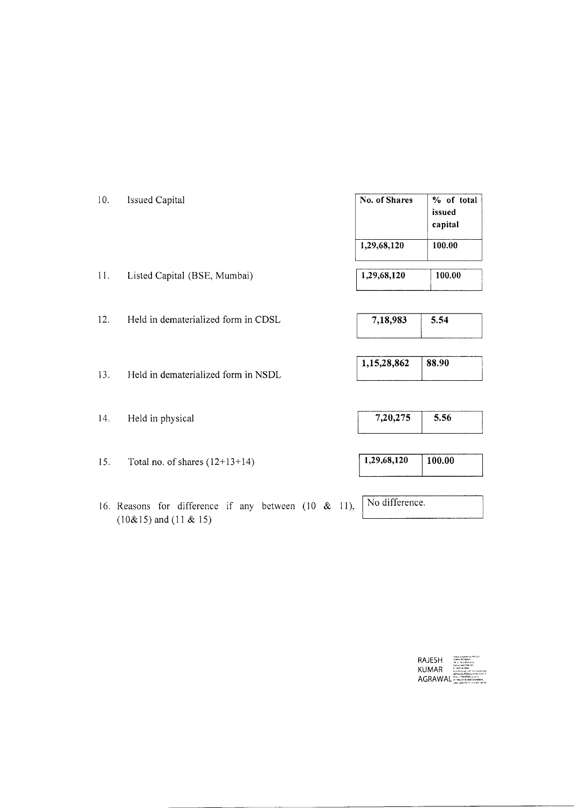| 10. | Issued Capital                      | No. of Shares | % of total<br>issued<br>capital |
|-----|-------------------------------------|---------------|---------------------------------|
|     |                                     | 1,29,68,120   | 100.00                          |
| 11. | Listed Capital (BSE, Mumbai)        | 1,29,68,120   | 100.00                          |
| 12. | Held in dematerialized form in CDSL | 7,18,983      | 5.54                            |

 $13.$ Held in dematerialized form in NSDL

 $14.$ Held in physical

15. Total no. of shares  $(12+13+14)$ 

16. Reasons for difference if any between  $(10 \& 11)$ ,  $(10\&15)$  and  $(11 \& 15)$ 

# 1,15,28,862  $88.90$

 $7,20,275$  $5.56$ 

 $1,29,68,120$  $100.00$ 

No difference.

RAJESH KUMAR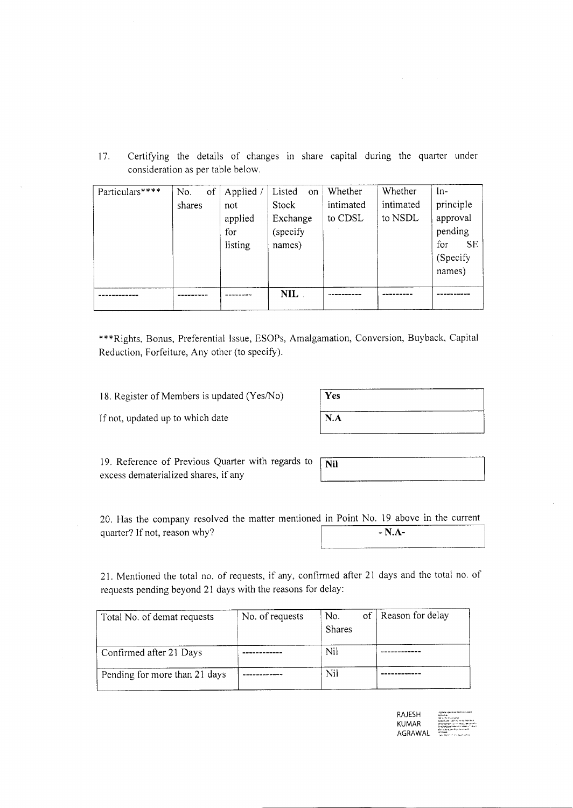17. Certifying the details of changes in share capital during the quarter under consideration as per table below.

| Particulars**** | of<br>No.<br>shares | Applied<br>not<br>applied<br>for<br>listing | Listed<br>on<br>Stock<br>Exchange<br>(specify<br>names) | Whether<br>intimated<br>to CDSL | Whether<br>intimated<br>to NSDL | $ln-$<br>principle<br>approval<br>pending<br>for<br><b>SE</b><br>(Specify)<br>names) |
|-----------------|---------------------|---------------------------------------------|---------------------------------------------------------|---------------------------------|---------------------------------|--------------------------------------------------------------------------------------|
|                 |                     |                                             | <b>NIL</b>                                              |                                 |                                 |                                                                                      |

+\*\*Rights, Bonus, Preferential Issue, ESOPs, Amalgamation, Conversion, Buyback, Capital Reduction, Forfeiture, Any other (to specify).

18. Register of Members is updated (Yes/No)

If not, updated up to which date

| Yes |  |  |
|-----|--|--|
| N.A |  |  |
|     |  |  |

19. Reference of Previous Quarter with regards to excess dematerialized shares, if any

| ΙiΙ |  |  |
|-----|--|--|
|     |  |  |
|     |  |  |
|     |  |  |
|     |  |  |

20. Has the company resolved the matter mentioned in Point No. 19 above in the current quarter? If not, reason why? - N.A-

21. Mentioned the total no. of requests, if any, confirmed after 21 days and the total no. of requests pending beyond 21 days with the reasons for delay:

| Total No. of demat requests   | No. of requests | of<br>No.<br>Shares | Reason for delay |
|-------------------------------|-----------------|---------------------|------------------|
| Confirmed after 21 Days       |                 | Nil                 |                  |
| Pending for more than 21 days |                 | Nil                 |                  |

| RAJESH  | Creately signed by 38 Born Crayle<br><b>ACABALL</b><br>ONE cared displays contain                                     |
|---------|-----------------------------------------------------------------------------------------------------------------------|
| KUMAR   | pagalCode 1550101 insidelities And<br>seattumber af trindbrautereine<br>Several Madernal 10003472 (1990) col. "Month" |
| AGRAWAL | Whereastle, environmentalist<br>4634441<br>New 2020 1014 13 Auch welche                                               |